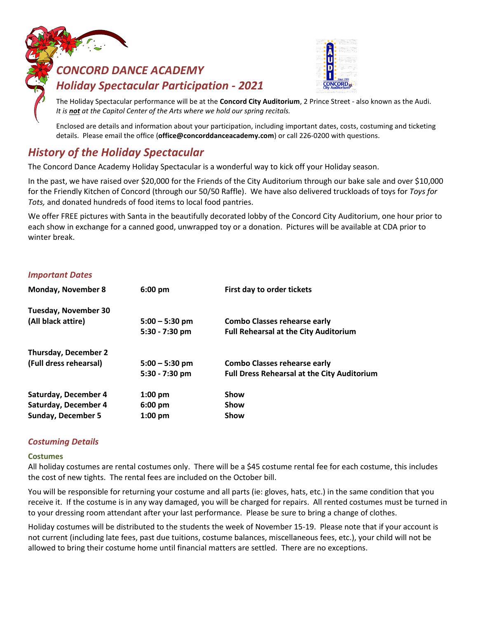# *CONCORD DANCE ACADEMY Holiday Spectacular Participation - 2021*



The Holiday Spectacular performance will be at the **Concord City Auditorium**, 2 Prince Street - also known as the Audi. *It is not at the Capitol Center of the Arts where we hold our spring recitals.*

Enclosed are details and information about your participation, including important dates, costs, costuming and ticketing details.Please email the office (**office@concorddanceacademy.com**) or call 226-0200 with questions.

# *History of the Holiday Spectacular*

The Concord Dance Academy Holiday Spectacular is a wonderful way to kick off your Holiday season.

In the past, we have raised over \$20,000 for the Friends of the City Auditorium through our bake sale and over \$10,000 for the Friendly Kitchen of Concord (through our 50/50 Raffle). We have also delivered truckloads of toys for *Toys for Tots,* and donated hundreds of food items to local food pantries.

We offer FREE pictures with Santa in the beautifully decorated lobby of the Concord City Auditorium, one hour prior to each show in exchange for a canned good, unwrapped toy or a donation. Pictures will be available at CDA prior to winter break.

# *Important Dates*

| <b>Monday, November 8</b>   | $6:00$ pm         | First day to order tickets                         |
|-----------------------------|-------------------|----------------------------------------------------|
| <b>Tuesday, November 30</b> |                   |                                                    |
| (All black attire)          | $5:00 - 5:30$ pm  | <b>Combo Classes rehearse early</b>                |
|                             | 5:30 - 7:30 pm    | <b>Full Rehearsal at the City Auditorium</b>       |
| <b>Thursday, December 2</b> |                   |                                                    |
| (Full dress rehearsal)      | $5:00 - 5:30$ pm  | <b>Combo Classes rehearse early</b>                |
|                             | $5:30 - 7:30$ pm  | <b>Full Dress Rehearsal at the City Auditorium</b> |
| Saturday, December 4        | $1:00$ pm         | <b>Show</b>                                        |
| Saturday, December 4        | $6:00 \text{ pm}$ | <b>Show</b>                                        |
| <b>Sunday, December 5</b>   | $1:00$ pm         | Show                                               |

# *Costuming Details*

#### **Costumes**

All holiday costumes are rental costumes only. There will be a \$45 costume rental fee for each costume, this includes the cost of new tights. The rental fees are included on the October bill.

You will be responsible for returning your costume and all parts (ie: gloves, hats, etc.) in the same condition that you receive it. If the costume is in any way damaged, you will be charged for repairs. All rented costumes must be turned in to your dressing room attendant after your last performance. Please be sure to bring a change of clothes.

Holiday costumes will be distributed to the students the week of November 15-19. Please note that if your account is not current (including late fees, past due tuitions, costume balances, miscellaneous fees, etc.), your child will not be allowed to bring their costume home until financial matters are settled. There are no exceptions.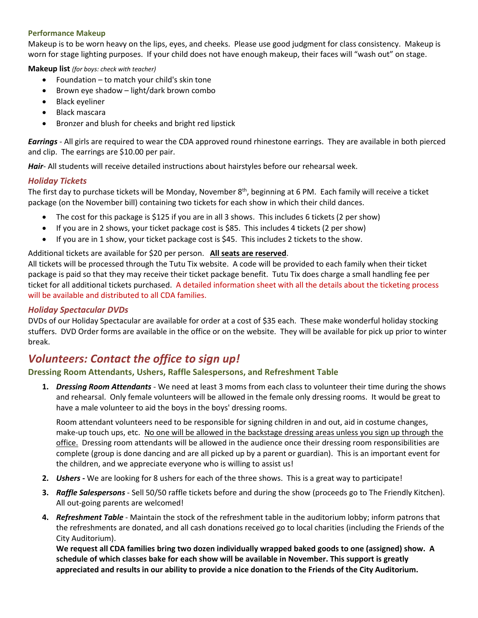#### **Performance Makeup**

Makeup is to be worn heavy on the lips, eyes, and cheeks. Please use good judgment for class consistency. Makeup is worn for stage lighting purposes. If your child does not have enough makeup, their faces will "wash out" on stage.

**Makeup list** *(for boys: check with teacher)*

- Foundation to match your child's skin tone
- Brown eye shadow light/dark brown combo
- Black eyeliner
- Black mascara
- Bronzer and blush for cheeks and bright red lipstick

*Earrings* - All girls are required to wear the CDA approved round rhinestone earrings. They are available in both pierced and clip. The earrings are \$10.00 per pair.

*Hair*- All students will receive detailed instructions about hairstyles before our rehearsal week.

#### *Holiday Tickets*

The first day to purchase tickets will be Monday, November 8<sup>th</sup>, beginning at 6 PM. Each family will receive a ticket package (on the November bill) containing two tickets for each show in which their child dances.

- The cost for this package is \$125 if you are in all 3 shows. This includes 6 tickets (2 per show)
- If you are in 2 shows, your ticket package cost is \$85. This includes 4 tickets (2 per show)
- If you are in 1 show, your ticket package cost is \$45. This includes 2 tickets to the show.

#### Additional tickets are available for \$20 per person. **All seats are reserved**.

All tickets will be processed through the Tutu Tix website. A code will be provided to each family when their ticket package is paid so that they may receive their ticket package benefit. Tutu Tix does charge a small handling fee per ticket for all additional tickets purchased. A detailed information sheet with all the details about the ticketing process will be available and distributed to all CDA families.

#### *Holiday Spectacular DVDs*

DVDs of our Holiday Spectacular are available for order at a cost of \$35 each. These make wonderful holiday stocking stuffers. DVD Order forms are available in the office or on the website. They will be available for pick up prior to winter break.

# *Volunteers: Contact the office to sign up!*

# **Dressing Room Attendants, Ushers, Raffle Salespersons, and Refreshment Table**

**1.** *Dressing Room Attendants* - We need at least 3 moms from each class to volunteer their time during the shows and rehearsal. Only female volunteers will be allowed in the female only dressing rooms. It would be great to have a male volunteer to aid the boys in the boys' dressing rooms.

Room attendant volunteers need to be responsible for signing children in and out, aid in costume changes, make-up touch ups, etc. No one will be allowed in the backstage dressing areas unless you sign up through the office. Dressing room attendants will be allowed in the audience once their dressing room responsibilities are complete (group is done dancing and are all picked up by a parent or guardian). This is an important event for the children, and we appreciate everyone who is willing to assist us!

- **2.** *Ushers -* We are looking for 8 ushers for each of the three shows. This is a great way to participate!
- **3.** *Raffle Salespersons* Sell 50/50 raffle tickets before and during the show (proceeds go to The Friendly Kitchen). All out-going parents are welcomed!
- **4.** *Refreshment Table* Maintain the stock of the refreshment table in the auditorium lobby; inform patrons that the refreshments are donated, and all cash donations received go to local charities (including the Friends of the City Auditorium).

**We request all CDA families bring two dozen individually wrapped baked goods to one (assigned) show. A schedule of which classes bake for each show will be available in November. This support is greatly appreciated and results in our ability to provide a nice donation to the Friends of the City Auditorium.**